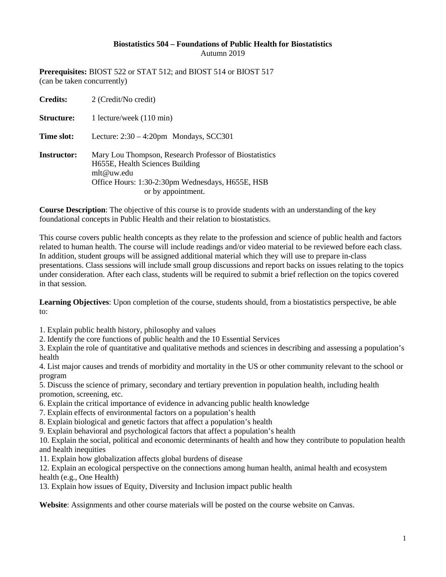## **Biostatistics 504 – Foundations of Public Health for Biostatistics** Autumn 2019

**Prerequisites:** BIOST 522 or STAT 512; and BIOST 514 or BIOST 517 (can be taken concurrently)

| <b>Credits:</b>    | 2 (Credit/No credit)                                                                                                                                                              |
|--------------------|-----------------------------------------------------------------------------------------------------------------------------------------------------------------------------------|
| <b>Structure:</b>  | 1 lecture/week (110 min)                                                                                                                                                          |
| Time slot:         | Lecture: $2:30 - 4:20$ pm Mondays, SCC301                                                                                                                                         |
| <b>Instructor:</b> | Mary Lou Thompson, Research Professor of Biostatistics<br>H655E, Health Sciences Building<br>mlt@uw.edu<br>Office Hours: 1:30-2:30pm Wednesdays, H655E, HSB<br>or by appointment. |

**Course Description**: The objective of this course is to provide students with an understanding of the key foundational concepts in Public Health and their relation to biostatistics.

This course covers public health concepts as they relate to the profession and science of public health and factors related to human health. The course will include readings and/or video material to be reviewed before each class. In addition, student groups will be assigned additional material which they will use to prepare in-class presentations. Class sessions will include small group discussions and report backs on issues relating to the topics under consideration. After each class, students will be required to submit a brief reflection on the topics covered in that session.

**Learning Objectives**: Upon completion of the course, students should, from a biostatistics perspective, be able to:

1. Explain public health history, philosophy and values

2. Identify the core functions of public health and the 10 Essential Services

3. Explain the role of quantitative and qualitative methods and sciences in describing and assessing a population's health

4. List major causes and trends of morbidity and mortality in the US or other community relevant to the school or program

5. Discuss the science of primary, secondary and tertiary prevention in population health, including health promotion, screening, etc.

6. Explain the critical importance of evidence in advancing public health knowledge

- 7. Explain effects of environmental factors on a population's health
- 8. Explain biological and genetic factors that affect a population's health

9. Explain behavioral and psychological factors that affect a population's health

10. Explain the social, political and economic determinants of health and how they contribute to population health and health inequities

11. Explain how globalization affects global burdens of disease

12. Explain an ecological perspective on the connections among human health, animal health and ecosystem health (e.g., One Health)

13. Explain how issues of Equity, Diversity and Inclusion impact public health

**Website**: Assignments and other course materials will be posted on the course website on Canvas.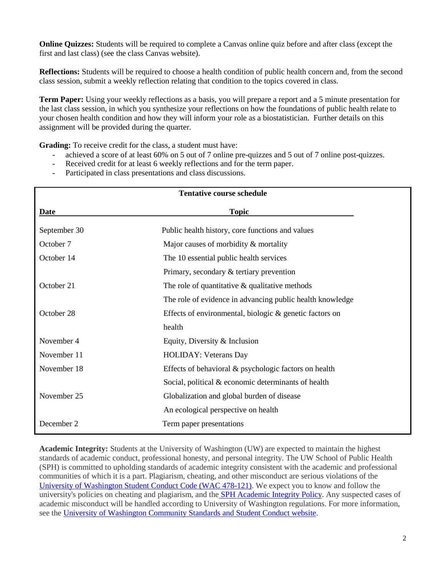**Online Quizzes:** Students will be required to complete a Canvas online quiz before and after class (except the first and last class) (see the class Canvas website).

**Reflections:** Students will be required to choose a health condition of public health concern and, from the second class session, submit a weekly reflection relating that condition to the topics covered in class.

**Term Paper:** Using your weekly reflections as a basis, you will prepare a report and a 5 minute presentation for the last class session, in which you synthesize your reflections on how the foundations of public health relate to your chosen health condition and how they will inform your role as a biostatistician. Further details on this assignment will be provided during the quarter.

**Grading:** To receive credit for the class, a student must have:

- achieved a score of at least 60% on 5 out of 7 online pre-quizzes and 5 out of 7 online post-quizzes.
- Received credit for at least 6 weekly reflections and for the term paper.
- Participated in class presentations and class discussions.

| <b>Tentative course schedule</b> |                                                           |  |
|----------------------------------|-----------------------------------------------------------|--|
| <b>Date</b>                      | <b>Topic</b>                                              |  |
| September 30                     | Public health history, core functions and values          |  |
| October 7                        | Major causes of morbidity & mortality                     |  |
| October 14                       | The 10 essential public health services                   |  |
|                                  | Primary, secondary $\&$ tertiary prevention               |  |
| October 21                       | The role of quantitative $\&$ qualitative methods         |  |
|                                  | The role of evidence in advancing public health knowledge |  |
| October 28                       | Effects of environmental, biologic & genetic factors on   |  |
|                                  | health                                                    |  |
| November 4                       | Equity, Diversity & Inclusion                             |  |
| November 11                      | <b>HOLIDAY: Veterans Day</b>                              |  |
| November 18                      | Effects of behavioral & psychologic factors on health     |  |
|                                  | Social, political & economic determinants of health       |  |
| November 25                      | Globalization and global burden of disease                |  |
|                                  | An ecological perspective on health                       |  |
| December 2                       | Term paper presentations                                  |  |

**Academic Integrity:** Students at the University of Washington (UW) are expected to maintain the highest standards of academic conduct, professional honesty, and personal integrity. The UW School of Public Health (SPH) is committed to upholding standards of academic integrity consistent with the academic and professional communities of which it is a part. Plagiarism, cheating, and other misconduct are serious violations of the [University of Washington Student Conduct Code \(WAC 478-121\).](http://www.washington.edu/cssc/for-students/student-code-of-conduct/) We expect you to know and follow the university's policies on cheating and plagiarism, and the [SPH Academic Integrity Policy.](http://sph.washington.edu/students/academicintegrity/) Any suspected cases of academic misconduct will be handled according to University of Washington regulations. For more information, see the [University of Washington Community Standards and Student Conduct website.](http://www.washington.edu/cssc/)